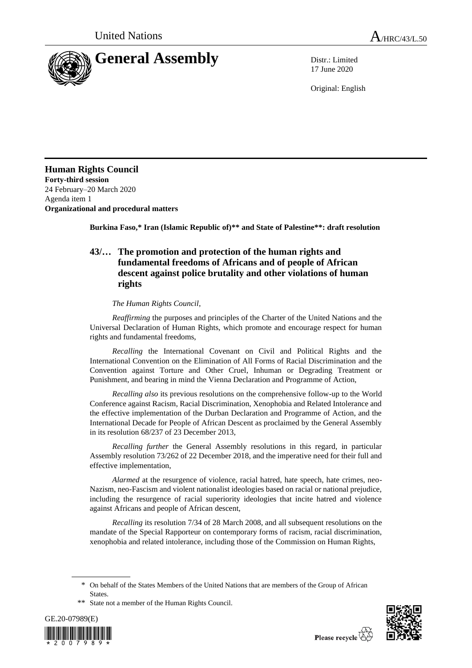

17 June 2020

Original: English

**Human Rights Council Forty-third session** 24 February–20 March 2020 Agenda item 1 **Organizational and procedural matters**

**Burkina Faso,\* Iran (Islamic Republic of)\*\* and State of Palestine\*\*: draft resolution**

## **43/… The promotion and protection of the human rights and fundamental freedoms of Africans and of people of African descent against police brutality and other violations of human rights**

## *The Human Rights Council*,

*Reaffirming* the purposes and principles of the Charter of the United Nations and the Universal Declaration of Human Rights, which promote and encourage respect for human rights and fundamental freedoms,

*Recalling* the International Covenant on Civil and Political Rights and the International Convention on the Elimination of All Forms of Racial Discrimination and the Convention against Torture and Other Cruel, Inhuman or Degrading Treatment or Punishment, and bearing in mind the Vienna Declaration and Programme of Action,

*Recalling also* its previous resolutions on the comprehensive follow-up to the World Conference against Racism, Racial Discrimination, Xenophobia and Related Intolerance and the effective implementation of the Durban Declaration and Programme of Action, and the International Decade for People of African Descent as proclaimed by the General Assembly in its resolution 68/237 of 23 December 2013,

*Recalling further* the General Assembly resolutions in this regard, in particular Assembly resolution 73/262 of 22 December 2018, and the imperative need for their full and effective implementation,

*Alarmed* at the resurgence of violence, racial hatred, hate speech, hate crimes, neo-Nazism, neo-Fascism and violent nationalist ideologies based on racial or national prejudice, including the resurgence of racial superiority ideologies that incite hatred and violence against Africans and people of African descent,

*Recalling* its resolution 7/34 of 28 March 2008, and all subsequent resolutions on the mandate of the Special Rapporteur on contemporary forms of racism, racial discrimination, xenophobia and related intolerance, including those of the Commission on Human Rights,

<sup>\*\*</sup> State not a member of the Human Rights Council.





<sup>\*</sup> On behalf of the States Members of the United Nations that are members of the Group of African States.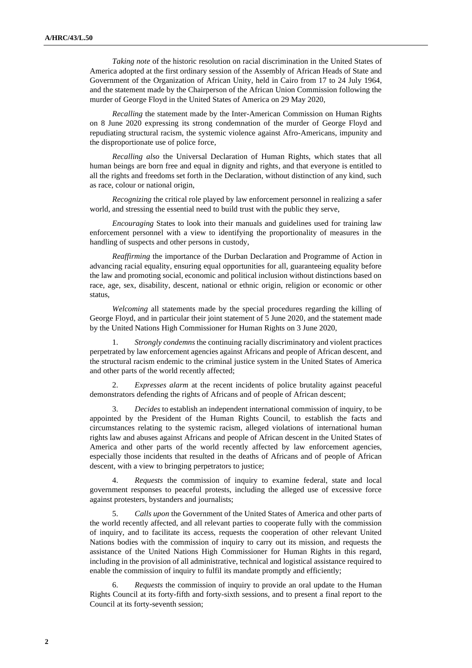*Taking note* of the historic resolution on racial discrimination in the United States of America adopted at the first ordinary session of the Assembly of African Heads of State and Government of the Organization of African Unity, held in Cairo from 17 to 24 July 1964, and the statement made by the Chairperson of the African Union Commission following the murder of George Floyd in the United States of America on 29 May 2020,

*Recalling* the statement made by the Inter-American Commission on Human Rights on 8 June 2020 expressing its strong condemnation of the murder of George Floyd and repudiating structural racism, the systemic violence against Afro-Americans, impunity and the disproportionate use of police force,

*Recalling also* the Universal Declaration of Human Rights, which states that all human beings are born free and equal in dignity and rights, and that everyone is entitled to all the rights and freedoms set forth in the Declaration, without distinction of any kind, such as race, colour or national origin,

*Recognizing* the critical role played by law enforcement personnel in realizing a safer world, and stressing the essential need to build trust with the public they serve,

*Encouraging* States to look into their manuals and guidelines used for training law enforcement personnel with a view to identifying the proportionality of measures in the handling of suspects and other persons in custody,

*Reaffirming* the importance of the Durban Declaration and Programme of Action in advancing racial equality, ensuring equal opportunities for all, guaranteeing equality before the law and promoting social, economic and political inclusion without distinctions based on race, age, sex, disability, descent, national or ethnic origin, religion or economic or other status,

*Welcoming* all statements made by the special procedures regarding the killing of George Floyd, and in particular their joint statement of 5 June 2020, and the statement made by the United Nations High Commissioner for Human Rights on 3 June 2020,

1. *Strongly condemns* the continuing racially discriminatory and violent practices perpetrated by law enforcement agencies against Africans and people of African descent, and the structural racism endemic to the criminal justice system in the United States of America and other parts of the world recently affected;

2. *Expresses alarm* at the recent incidents of police brutality against peaceful demonstrators defending the rights of Africans and of people of African descent;

3. *Decides* to establish an independent international commission of inquiry, to be appointed by the President of the Human Rights Council, to establish the facts and circumstances relating to the systemic racism, alleged violations of international human rights law and abuses against Africans and people of African descent in the United States of America and other parts of the world recently affected by law enforcement agencies, especially those incidents that resulted in the deaths of Africans and of people of African descent, with a view to bringing perpetrators to justice;

4. *Requests* the commission of inquiry to examine federal, state and local government responses to peaceful protests, including the alleged use of excessive force against protesters, bystanders and journalists;

5. *Calls upon* the Government of the United States of America and other parts of the world recently affected, and all relevant parties to cooperate fully with the commission of inquiry, and to facilitate its access, requests the cooperation of other relevant United Nations bodies with the commission of inquiry to carry out its mission, and requests the assistance of the United Nations High Commissioner for Human Rights in this regard, including in the provision of all administrative, technical and logistical assistance required to enable the commission of inquiry to fulfil its mandate promptly and efficiently;

6. *Requests* the commission of inquiry to provide an oral update to the Human Rights Council at its forty-fifth and forty-sixth sessions, and to present a final report to the Council at its forty-seventh session;